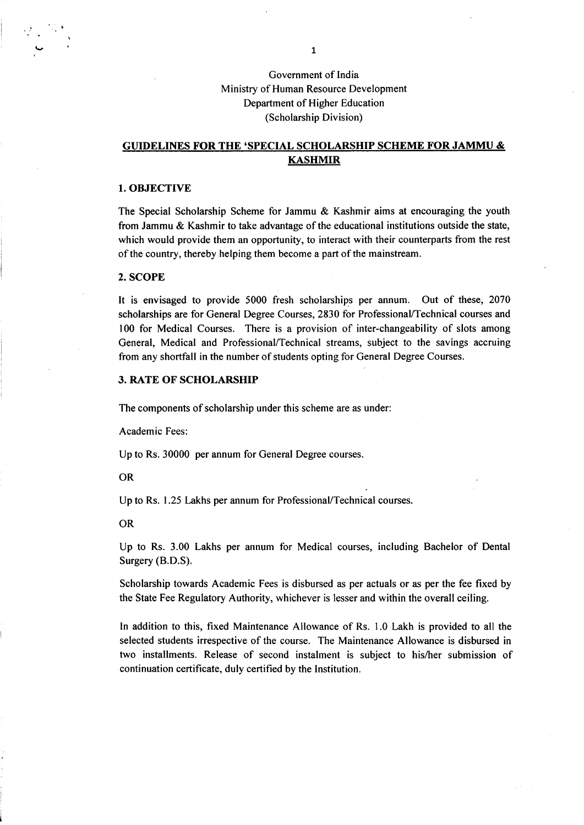Government of India Ministry of Human Resource Development Department of Higher Education (Scholarship Division)

# GUIDELINES FOR THE 'SPECIAL SCHOLARSHIP SCHEME FOR JAMMU & KASHMIR

### 1. OBJECTIVE

The Special Scholarship Scheme for Jammu & Kashmir aims at encouraging the youth from Jammu & Kashmir to take advantage of the educational institutions outside the state, which would provide them an opportunity, to interact with their counterparts from the rest of the country, thereby helping them become apart of the mainstream.

#### 2. SCOPE

It is envisaged to provide 5000 fresh scholarships per annum. Out of these, <sup>2070</sup> scholarships are for General Degree Courses, 2830 for Professional/Technical courses and 100 for Medical Courses. There is a provision of inter-changeability of slots among General, Medical and Professional/Technical streams, subject to the savings accruing from any shortfall in the number of students opting for General Degree Courses.

### 3. RATE OF SCHOLARSHIP

The components of scholarship under this scheme are as under:

Academic Fees:

Up to Rs. 30000 per annum for General Degree courses.

#### OR

Up to Rs. 1.25 Lakhs per annum for Professional/Technical courses.

#### OR

Up to Rs. 3.00 Lakhs per annum for Medical courses, including Bachelor of Dental Surgery (B.D.S).

Scholarship towards Academic Fees is disbursed as per actuals or as per the fee fixed by the State Fee Regulatory Authority, whichever is lesser and within the overall ceiling.

In addition to this, fixed Maintenance Allowance of Rs. 1.0 Lakh is provided to all the selected students irrespective of the course. The Maintenance Allowance is disbursed in two installments. Release of second instalment is subject to his/her submission of continuation certificate, duly certified by the Institution.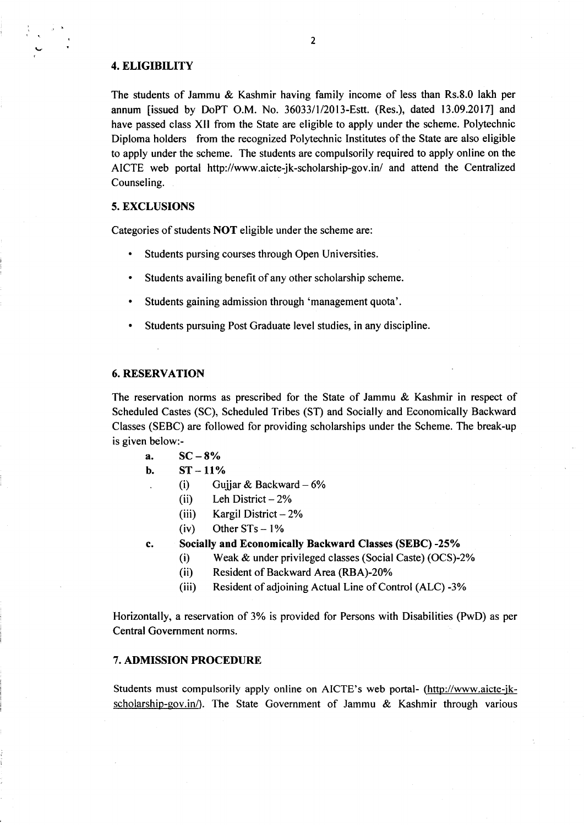## 4. ELIGIBILITY

v

The students of Jammu & Kashmir having family income of less than Rs.8.0 lakh per annum [issued by DoPT O.M. No. 3603311/2013-Estt. (Res.), dated 13.09.2017) and have passed class XII from the State are eligible to apply under the scheme. Polytechnic Diploma holders from the recognized Polytechnic Institutes of the State are also eligible to apply under the scheme. The students are compulsorily required to apply online on the AICTE web portal http://www.aicte-jk-scholarship-gov.in/ and attend the Centralized Counseling.

#### 5. EXCLUSIONS

Categories of students NOT eligible under the scheme are:

- . Students pursing courses through Open Universities.
- . Students availing benefit of any other scholarship scheme.
- . Students gaining admission through 'management quota'.
- . Students pursuing Post Graduate level studies, in any discipline.

## 6. RESERVATION

The reservation norms as prescribed for the State of Jammu & Kashmir in respect of Scheduled Castes (SC), Scheduled Tribes (ST) and Socially and Economically Backward Classes (SEBC) are followed for providing scholarships under the Scheme. The break-up is given below:-

- a.  $SC-8%$ <br>b.  $ST-11%$
- - (i) Gujjar & Backward  $-6\%$ 
		- (ii) Leh District  $-2\%$
		- (iii) Kargil District  $-2\%$ <br>(iv) Other STs  $-1\%$
		-
- c. Socially and Economically Backward Classes (SEBC) -25%
	- (i) Weak & under privileged classes (Social Caste) (OCS)-2%
	- (ii) Resident of Backward Area (RBA)-20%
	- (iii) Resident of adjoining Actual Line of Control (ALC) -3%

Horizontally, a reservation of 3% is provided for Persons with Disabilities (PwD) as per Central Govemment norms.

## 7. ADMISSION PROCEDURE

Students must compulsorily apply online on AICTE's web portal- (http://www.aicte-jkscholarship-qov.in/). The State Government of Jammu & Kashmir through various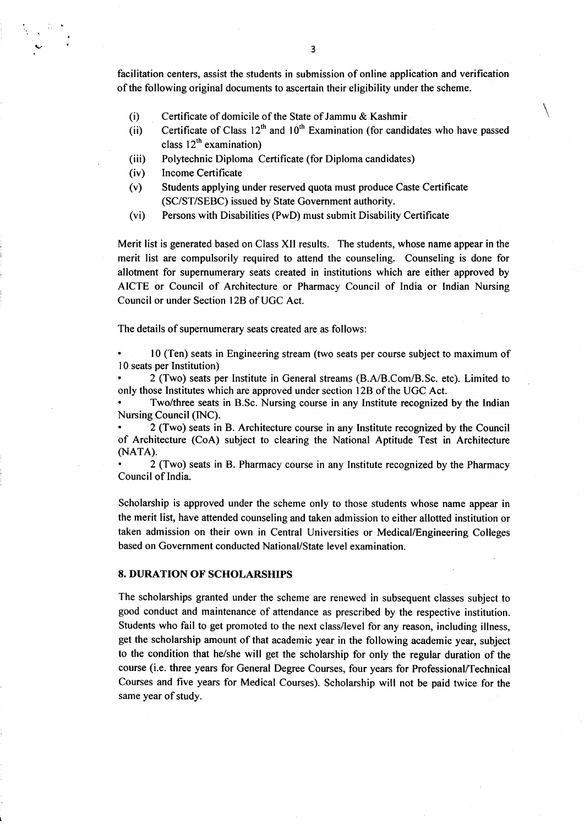facilitation centers, assist the students in submission of online application and verification of the following original documents to ascertain their eligibility under the scheme.

- (i) Certificate of domicile of the State of Jammu & Kashmir
- (ii) Certificate of Class  $12<sup>th</sup>$  and  $10<sup>th</sup>$  Examination (for candidates who have passed class  $12<sup>th</sup>$  examination)
- (iii) Polytechnic Diploma Certificate (for Diploma candidates)
- (iv) Income Certificate

I

- (v) Students applying under reserved quota must produce Caste Certificate (SC/ST/SEBC) issued by State Government authority.
- (vi) Persons with Disabilities (PwD) must submit Disability Certificate

Merit list is generated based on Class XII results. The students, whose name appear in the merit list are compulsorily required to attend the counseling. Counseling is done for allotment for supernumerary seats created in institutions which are either approved by AICTE or Council of Architecture or Pharmacy Council of India or Indian Nursing Council or under Section 12B of UGC Act.

The details of supernumerary seats created are as follows:

. l0 (Ten) seats in Engineering stream (two seats per course subject to maximum of <sup>I</sup>0 seats per Institution)

2 (Two) seats per Institute in General streams (B.A/B.Com/B.Sc. etc). Limited to only those Institutes which are approved under section 12B of the UGC Act.

. Two/three seats in B.Sc. Nursing course in any lnstitute recognized by the Indian Nursing Council(INC).

' 2 (Two) seats in B. Architecture course in any lnstitute recognized by the Council of Architecture (CoA) subject to clearing the National Aptitude Test in Architecture (NATA).

' 2 (Two) seats in B. Pharmacy course in any Institute recognized by the Pharmacy Council of India.

Scholarship is approved under the scheme only to those students whose name appear in the merit list, have attended counseling and taken admission to either alloffed institution or taken admission on their own in Central Universities or Medical/Engineering Colleges based on Government conducted National/State level examination.

## 8. DURATION OF SCHOLARSHIPS

The scholarships granted under the scheme are renewed in subsequent classes subject to good conduct and maintenance of attendance as prescribed by the respective institution. Students who fail to get promoted to the next class/level for any reason, including illness, get the scholarship amount of that academic year in the following academic year, subject to the condition that he/she will get the scholarship for only the regular duration of the course (i.e. three years for General Degree Courses, four years for Professional/Technical Courses and five years for Medical Courses). Scholarship will not be paid twice for the same year of study.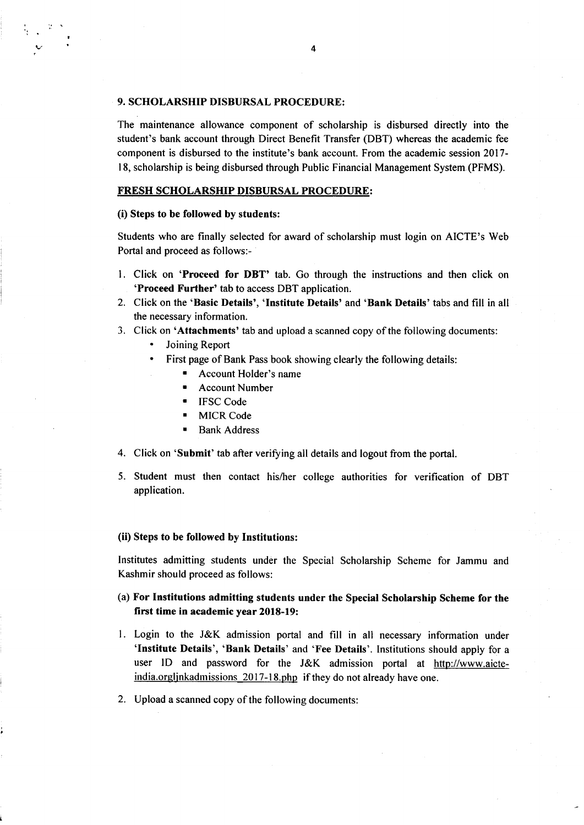### 9. SCHOLARSHIP DISBURSAL PROCEDURE:

The maintenance allowance component of scholarship is disbursed directly into the student's bank account through Direct Benefit Transfer (DBT) whereas the academic fee component is disbursed to the institute's bank account. From the academic session 2017- I 8, scholarship is being disbursed through Public Financial Management System. (PFMS).

## FRESH SCHOLARSHIP DISBURSAL PROCEDURE:

#### (i) Steps to be followed by students:

I

a/

Students who are finally selected for award of scholarship must login on AICTE's Web Portal and proceed as follows:-

- 1. Click on 'Proceed for DBT' tab. Go through the instructions and then click on 'Proceed Further' tab to access DBT application.
- 2. Click on the 'Basic Details', 'Institute Details' and 'Bank Details' tabs and fill in all the necessary information.
- 3. Click on 'Attachments' tab and upload a scanned copy of the following documents:
	- . Joining Report
	- . First page of Bank Pass book showing clearly the following details:
		- . Account Holder's name
		- $\blacksquare$  Account Number
		- . IFSC Code
		- **MICR Code**
		- . Bank Address
- 4. Click on 'Submit' tab after verifying all details and logout from the portal.
- 5. Student must then contact his/her college authorities for verification of DBT application.

### (ii) Steps to be followed by Institutions:

Institutes admitting students under the Special Scholarship Scheme for Jammu and Kashmir should proceed as follows:

# (a) For Institutions admitting students under the Special Scholarship Scheme for the first time in academic year 2018-19:

- l. Login to the J&K admission portal and fill in all necessary information under 'Institute Details', 'Bank Details' and 'Fee Details'. Institutions should apply for <sup>a</sup> user ID and password for the J&K admission portal at http://www.aicteindia.orgljnkadmissions 2017-18.php if they do not already have one.
- 2. Upload a scanned copy of the following documents: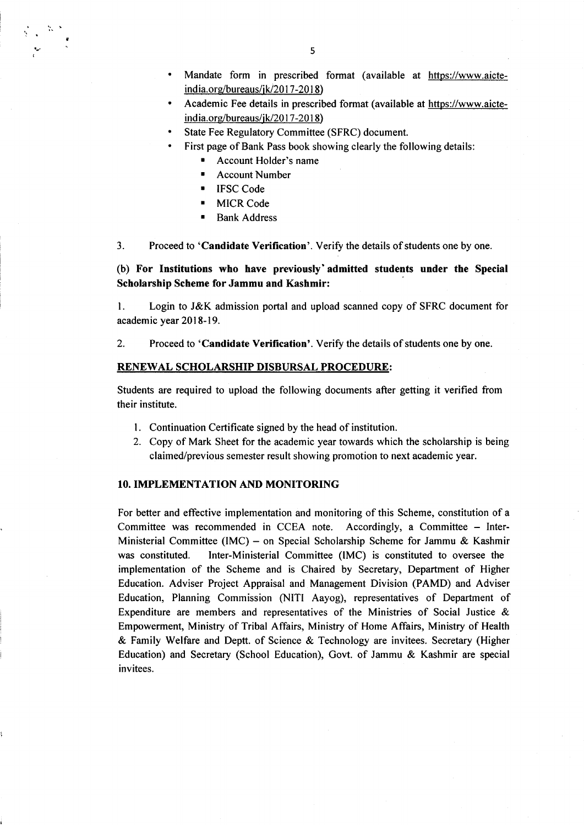- Mandate form in prescribed format (available at https://www.aicte $india.org/bureaus/ik/2017-2018)$
- Academic Fee details in prescribed format (available at https://www.aicteindia.org/bureaus/jk/2017-2018)
- State Fee Regulatory Committee (SFRC) document. a
- First page of Bank Pass book showing clearly the following details:
	- Account Holder's name
	- **Account Number**
	- . IFSC Code

g

- **MICR Code**
- **Bank Address**

3. Proceed to 'Candidate Verification'. Verify the details of students one by one.

(b) For Institutions who have previously'admitted students under the Special Scholarship Scheme for Jammu and Kashmir:

l. Login to J&K admission portal and upload scanned copy of SFRC document for academic year 2018-19.

2. Proceed to 'Candidate Verification'. Verify the details of students one by one.

#### RENEWAL SCHOLARSHIP DISBURSAL PROCEDURE:

Students are required to upload the following documents after getting it verified from their institute.

- l. Continuation Certificate signed by the head of institution.
- 2. Copy of Mark Sheet for the academic year towards which the scholarship is being claimed/previous semester result showing promotion to next academic year.

#### IO. IMPLEMENTATION AND MONITORING

For better and effective implementation and monitoring of this Scheme, constitution of a Committee was recommended in CCEA note. Accordingly, a Committee - Inter-Ministerial Committee (IMC) – on Special Scholarship Scheme for Jammu & Kashmir was constituted. Inter-Ministerial Committee (IMC) is constituted to oversee the Inter-Ministerial Committee (IMC) is constituted to oversee the implementation of the Scheme and is Chaired by Secretary, Department of Higher Education. Adviser Project Appraisal and Management Division (PAMD) and Adviser Education, Planning Commission (NITI Aayog), representatives of Department of Expenditure are members and representatives of the Ministries of Social Justice & Empowerment, Ministry of Tribal Affairs, Ministry of Home Affairs, Ministry of Health & Family Welfare and Deptt. of Science & Technology are invitees. Secretary (Higher Education) and Secretary (School Education), Govt. of Jammu & Kashmir are special invitees.